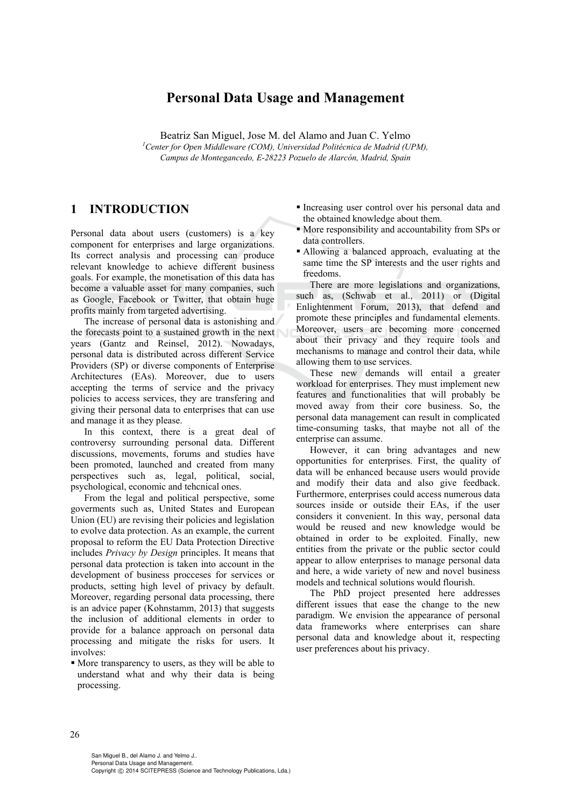# **Personal Data Usage and Management**

Beatriz San Miguel, Jose M. del Alamo and Juan C. Yelmo <sup>1</sup> Center for Open Middleware (COM), Universidad Politécnica de Madrid (UPM), *Campus de Montegancedo, E-28223 Pozuelo de Alarcón, Madrid, Spain* 

### **1 INTRODUCTION**

Personal data about users (customers) is a key component for enterprises and large organizations. Its correct analysis and processing can produce relevant knowledge to achieve different business goals. For example, the monetisation of this data has become a valuable asset for many companies, such as Google, Facebook or Twitter, that obtain huge profits mainly from targeted advertising.

The increase of personal data is astonishing and the forecasts point to a sustained growth in the next years (Gantz and Reinsel, 2012). Nowadays, personal data is distributed across different Service Providers (SP) or diverse components of Enterprise Architectures (EAs). Moreover, due to users accepting the terms of service and the privacy policies to access services, they are transfering and giving their personal data to enterprises that can use and manage it as they please.

In this context, there is a great deal of controversy surrounding personal data. Different discussions, movements, forums and studies have been promoted, launched and created from many perspectives such as, legal, political, social, psychological, economic and tehcnical ones.

From the legal and political perspective, some goverments such as, United States and European Union (EU) are revising their policies and legislation to evolve data protection. As an example, the current proposal to reform the EU Data Protection Directive includes *Privacy by Design* principles. It means that personal data protection is taken into account in the development of business procceses for services or products, setting high level of privacy by default. Moreover, regarding personal data processing, there is an advice paper (Kohnstamm, 2013) that suggests the inclusion of additional elements in order to provide for a balance approach on personal data processing and mitigate the risks for users. It involves:

 More transparency to users, as they will be able to understand what and why their data is being processing.

- Increasing user control over his personal data and the obtained knowledge about them.
- More responsibility and accountability from SPs or data controllers.
- Allowing a balanced approach, evaluating at the same time the SP interests and the user rights and freedoms.

There are more legislations and organizations, such as, (Schwab et al., 2011) or (Digital Enlightenment Forum, 2013), that defend and promote these principles and fundamental elements. Moreover, users are becoming more concerned about their privacy and they require tools and mechanisms to manage and control their data, while allowing them to use services.

These new demands will entail a greater workload for enterprises. They must implement new features and functionalities that will probably be moved away from their core business. So, the personal data management can result in complicated time-consuming tasks, that maybe not all of the enterprise can assume.

However, it can bring advantages and new opportunities for enterprises. First, the quality of data will be enhanced because users would provide and modify their data and also give feedback. Furthermore, enterprises could access numerous data sources inside or outside their EAs, if the user considers it convenient. In this way, personal data would be reused and new knowledge would be obtained in order to be exploited. Finally, new entities from the private or the public sector could appear to allow enterprises to manage personal data and here, a wide variety of new and novel business models and technical solutions would flourish.

The PhD project presented here addresses different issues that ease the change to the new paradigm. We envision the appearance of personal data frameworks where enterprises can share personal data and knowledge about it, respecting user preferences about his privacy.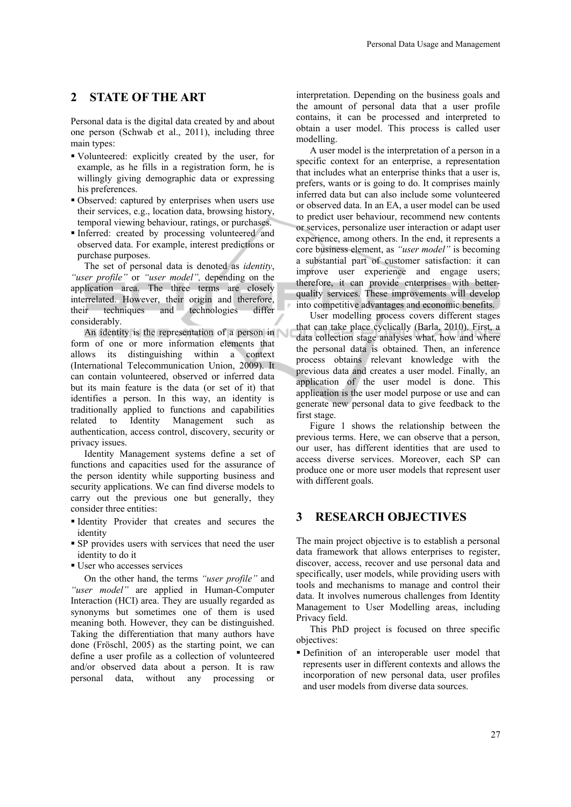### **2 STATE OF THE ART**

Personal data is the digital data created by and about one person (Schwab et al., 2011), including three main types:

- Volunteered: explicitly created by the user, for example, as he fills in a registration form, he is willingly giving demographic data or expressing his preferences.
- Observed: captured by enterprises when users use their services, e.g., location data, browsing history, temporal viewing behaviour, ratings, or purchases.
- Inferred: created by processing volunteered and observed data. For example, interest predictions or purchase purposes.

The set of personal data is denoted as *identity*, *"user profile"* or *"user model",* depending on the application area. The three terms are closely interrelated. However, their origin and therefore, their techniques and technologies differ considerably.

An identity is the representation of a person in form of one or more information elements that allows its distinguishing within a context (International Telecommunication Union, 2009). It can contain volunteered, observed or inferred data but its main feature is the data (or set of it) that identifies a person. In this way, an identity is traditionally applied to functions and capabilities related to Identity Management such as authentication, access control, discovery, security or privacy issues.

Identity Management systems define a set of functions and capacities used for the assurance of the person identity while supporting business and security applications. We can find diverse models to carry out the previous one but generally, they consider three entities:

- Identity Provider that creates and secures the identity
- SP provides users with services that need the user identity to do it
- User who accesses services

On the other hand, the terms *"user profile"* and *"user model"* are applied in Human-Computer Interaction (HCI) area. They are usually regarded as synonyms but sometimes one of them is used meaning both. However, they can be distinguished. Taking the differentiation that many authors have done (Fröschl, 2005) as the starting point, we can define a user profile as a collection of volunteered and/or observed data about a person. It is raw personal data, without any processing or

interpretation. Depending on the business goals and the amount of personal data that a user profile contains, it can be processed and interpreted to obtain a user model. This process is called user modelling.

A user model is the interpretation of a person in a specific context for an enterprise, a representation that includes what an enterprise thinks that a user is, prefers, wants or is going to do. It comprises mainly inferred data but can also include some volunteered or observed data. In an EA, a user model can be used to predict user behaviour, recommend new contents or services, personalize user interaction or adapt user experience, among others. In the end, it represents a core business element, as *"user model"* is becoming a substantial part of customer satisfaction: it can improve user experience and engage users; therefore, it can provide enterprises with betterquality services. These improvements will develop into competitive advantages and economic benefits.

User modelling process covers different stages that can take place cyclically (Barla, 2010). First, a data collection stage analyses what, how and where the personal data is obtained. Then, an inference process obtains relevant knowledge with the previous data and creates a user model. Finally, an application of the user model is done. This application is the user model purpose or use and can generate new personal data to give feedback to the first stage.

Figure 1 shows the relationship between the previous terms. Here, we can observe that a person, our user, has different identities that are used to access diverse services. Moreover, each SP can produce one or more user models that represent user with different goals.

### **3 RESEARCH OBJECTIVES**

The main project objective is to establish a personal data framework that allows enterprises to register, discover, access, recover and use personal data and specifically, user models, while providing users with tools and mechanisms to manage and control their data. It involves numerous challenges from Identity Management to User Modelling areas, including Privacy field.

This PhD project is focused on three specific objectives:

 Definition of an interoperable user model that represents user in different contexts and allows the incorporation of new personal data, user profiles and user models from diverse data sources.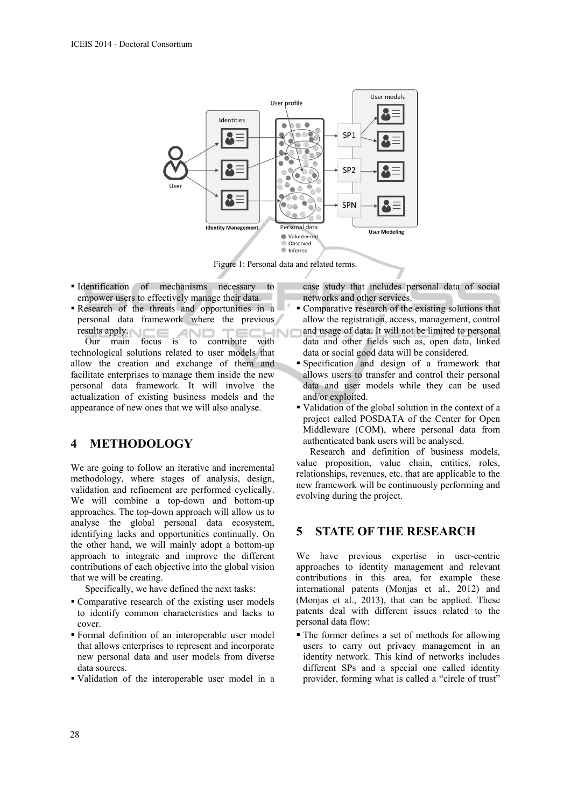

Figure 1: Personal data and related terms.

- Identification of mechanisms necessary to empower users to effectively manage their data.
- Research of the threats and opportunities in a personal data framework where the previous results apply. Sults apply.<br>
Our main focus is to contribute with ECHNO

technological solutions related to user models that allow the creation and exchange of them and facilitate enterprises to manage them inside the new personal data framework. It will involve the actualization of existing business models and the appearance of new ones that we will also analyse.

### **4 METHODOLOGY**

We are going to follow an iterative and incremental methodology, where stages of analysis, design, validation and refinement are performed cyclically. We will combine a top-down and bottom-up approaches. The top-down approach will allow us to analyse the global personal data ecosystem, identifying lacks and opportunities continually. On the other hand, we will mainly adopt a bottom-up approach to integrate and improve the different contributions of each objective into the global vision that we will be creating.

Specifically, we have defined the next tasks:

- Comparative research of the existing user models to identify common characteristics and lacks to cover.
- Formal definition of an interoperable user model that allows enterprises to represent and incorporate new personal data and user models from diverse data sources.
- Validation of the interoperable user model in a

case study that includes personal data of social networks and other services.

- Comparative research of the existing solutions that allow the registration, access, management, control and usage of data. It will not be limited to personal data and other fields such as, open data, linked data or social good data will be considered.
- Specification and design of a framework that allows users to transfer and control their personal data and user models while they can be used and/or exploited.
- Validation of the global solution in the context of a project called POSDATA of the Center for Open Middleware (COM), where personal data from authenticated bank users will be analysed.

Research and definition of business models, value proposition, value chain, entities, roles, relationships, revenues, etc. that are applicable to the new framework will be continuously performing and evolving during the project.

## **5 STATE OF THE RESEARCH**

We have previous expertise in user-centric approaches to identity management and relevant contributions in this area, for example these international patents (Monjas et al., 2012) and (Monjas et al., 2013), that can be applied. These patents deal with different issues related to the personal data flow:

 The former defines a set of methods for allowing users to carry out privacy management in an identity network. This kind of networks includes different SPs and a special one called identity provider, forming what is called a "circle of trust"